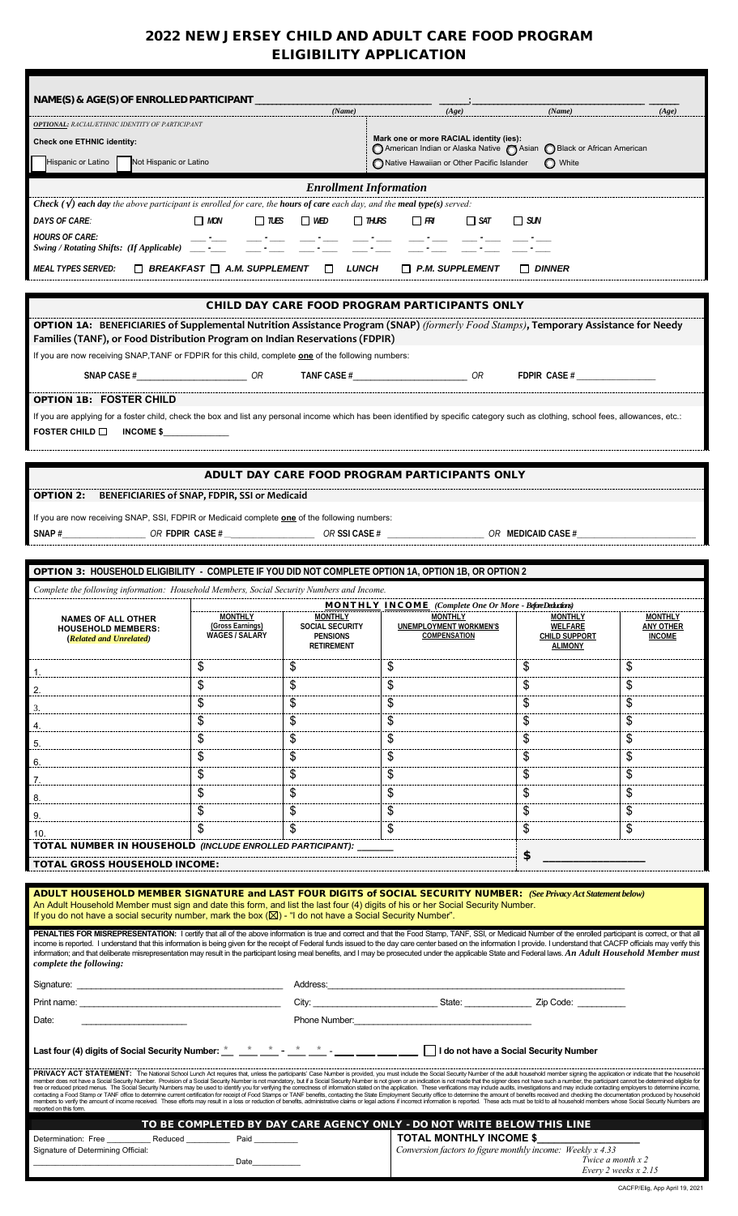# 2022 NEW JERSEY CHILD AND ADULT CARE FOOD PROGRAM ELIGIBILITY APPLICATION

| NAME(S) & AGE(S) OF ENROLLED PARTICIPANT                                                                                                                                                                                                                                                                                                                                                                                                                            |                                                                                                                                                                                                                                |                               |                                                                                                                   |                                 |                            |  |
|---------------------------------------------------------------------------------------------------------------------------------------------------------------------------------------------------------------------------------------------------------------------------------------------------------------------------------------------------------------------------------------------------------------------------------------------------------------------|--------------------------------------------------------------------------------------------------------------------------------------------------------------------------------------------------------------------------------|-------------------------------|-------------------------------------------------------------------------------------------------------------------|---------------------------------|----------------------------|--|
| OPTIONAL: RACIAL/ETHNIC IDENTITY OF PARTICIPANT                                                                                                                                                                                                                                                                                                                                                                                                                     |                                                                                                                                                                                                                                | (Name)                        | (Age)                                                                                                             | (Name)                          | (Age)                      |  |
| <b>Check one ETHNIC identity:</b>                                                                                                                                                                                                                                                                                                                                                                                                                                   |                                                                                                                                                                                                                                |                               | Mark one or more RACIAL identity (ies):<br>◯ American Indian or Alaska Native ◯ Asian ◯ Black or African American |                                 |                            |  |
| Hispanic or Latino<br>Not Hispanic or Latino                                                                                                                                                                                                                                                                                                                                                                                                                        |                                                                                                                                                                                                                                |                               | Native Hawaiian or Other Pacific Islander                                                                         | O White                         |                            |  |
|                                                                                                                                                                                                                                                                                                                                                                                                                                                                     |                                                                                                                                                                                                                                | <b>Enrollment Information</b> |                                                                                                                   |                                 |                            |  |
| <b>Check</b> $(\sqrt{})$ each day the above participant is enrolled for care, the <b>hours of care</b> each day, and the <b>meal type</b> (s) served:                                                                                                                                                                                                                                                                                                               |                                                                                                                                                                                                                                |                               |                                                                                                                   |                                 |                            |  |
| DAYS OF CARE:<br><b>HOURS OF CARE:</b>                                                                                                                                                                                                                                                                                                                                                                                                                              | $\Box$ MON<br>$\Box$ TUES                                                                                                                                                                                                      | $\Box$ WED<br>$\Box$ THURS    | $\Box$ FR<br>$\Box$ SAT                                                                                           | $\Box$ SUN                      |                            |  |
| <b>Swing / Rotating Shifts: (If Applicable)</b>                                                                                                                                                                                                                                                                                                                                                                                                                     |                                                                                                                                                                                                                                |                               |                                                                                                                   |                                 |                            |  |
| <b>MEAL TYPES SERVED:</b>                                                                                                                                                                                                                                                                                                                                                                                                                                           | $\Box$ BREAKFAST $\Box$ A.M. SUPPLEMENT                                                                                                                                                                                        | $\Box$<br><b>LUNCH</b>        | $\Box$ P.M. SUPPLEMENT                                                                                            | $\Box$ DINNER                   |                            |  |
|                                                                                                                                                                                                                                                                                                                                                                                                                                                                     |                                                                                                                                                                                                                                |                               |                                                                                                                   |                                 |                            |  |
|                                                                                                                                                                                                                                                                                                                                                                                                                                                                     |                                                                                                                                                                                                                                |                               | CHILD DAY CARE FOOD PROGRAM PARTICIPANTS ONLY                                                                     |                                 |                            |  |
| OPTION 1A: BENEFICIARIES of Supplemental Nutrition Assistance Program (SNAP) (formerly Food Stamps), Temporary Assistance for Needy<br>Families (TANF), or Food Distribution Program on Indian Reservations (FDPIR)                                                                                                                                                                                                                                                 |                                                                                                                                                                                                                                |                               |                                                                                                                   |                                 |                            |  |
| If you are now receiving SNAP, TANF or FDPIR for this child, complete one of the following numbers:                                                                                                                                                                                                                                                                                                                                                                 |                                                                                                                                                                                                                                |                               |                                                                                                                   |                                 |                            |  |
|                                                                                                                                                                                                                                                                                                                                                                                                                                                                     |                                                                                                                                                                                                                                |                               | $OR$ TANF CASE $#$ OR TANF CASE $#$ OR TANE CASE $+$ OR                                                           |                                 |                            |  |
| OPTION 1B: FOSTER CHILD                                                                                                                                                                                                                                                                                                                                                                                                                                             |                                                                                                                                                                                                                                |                               |                                                                                                                   |                                 |                            |  |
| If you are applying for a foster child, check the box and list any personal income which has been identified by specific category such as clothing, school fees, allowances, etc.:                                                                                                                                                                                                                                                                                  |                                                                                                                                                                                                                                |                               |                                                                                                                   |                                 |                            |  |
| FOSTER CHILD $\square$<br><b>INCOME \$</b>                                                                                                                                                                                                                                                                                                                                                                                                                          |                                                                                                                                                                                                                                |                               |                                                                                                                   |                                 |                            |  |
|                                                                                                                                                                                                                                                                                                                                                                                                                                                                     |                                                                                                                                                                                                                                |                               |                                                                                                                   |                                 |                            |  |
|                                                                                                                                                                                                                                                                                                                                                                                                                                                                     |                                                                                                                                                                                                                                |                               | ADULT DAY CARE FOOD PROGRAM PARTICIPANTS ONLY                                                                     |                                 |                            |  |
| OPTION 2:                                                                                                                                                                                                                                                                                                                                                                                                                                                           | BENEFICIARIES of SNAP, FDPIR, SSI or Medicaid                                                                                                                                                                                  |                               |                                                                                                                   |                                 |                            |  |
| If you are now receiving SNAP, SSI, FDPIR or Medicaid complete <b>one</b> of the following numbers:<br>SNAP $\#$ OR SNAP $\#$ OR SNAP $\#$ OR SNAP $\#$ OR SSNAP $\#$ OR SNAP $\#$ OR MEDICAID CASE $\#$                                                                                                                                                                                                                                                            |                                                                                                                                                                                                                                |                               |                                                                                                                   |                                 |                            |  |
|                                                                                                                                                                                                                                                                                                                                                                                                                                                                     |                                                                                                                                                                                                                                |                               |                                                                                                                   |                                 |                            |  |
| OPTION 3: HOUSEHOLD ELIGIBILITY - COMPLETE IF YOU DID NOT COMPLETE OPTION 1A, OPTION 1B, OR OPTION 2                                                                                                                                                                                                                                                                                                                                                                |                                                                                                                                                                                                                                |                               |                                                                                                                   |                                 |                            |  |
| Complete the following information: Household Members, Social Security Numbers and Income.                                                                                                                                                                                                                                                                                                                                                                          |                                                                                                                                                                                                                                |                               |                                                                                                                   |                                 |                            |  |
| <b>NAMES OF ALL OTHER</b>                                                                                                                                                                                                                                                                                                                                                                                                                                           | <b>MONTHLY</b>                                                                                                                                                                                                                 | <b>MONTHLY</b>                | MONTHLY INCOME (Complete One Or More - BeforeDeductions)<br><b>MONTHLY</b>                                        | <b>MONTHLY</b>                  | <b>MONTHLY</b>             |  |
| <b>HOUSEHOLD MEMBERS:</b><br>(Related and Unrelated)                                                                                                                                                                                                                                                                                                                                                                                                                | (Gross Earnings)<br><b>WAGES / SALARY</b>                                                                                                                                                                                      | SOCIAL SECURITY<br>PENSIONS   | UNEMPLOYMENT WORKMEN'S<br>COMPENSATION                                                                            | WELFARE<br><b>CHILD SUPPORT</b> | ANY OTHER<br><b>INCOME</b> |  |
|                                                                                                                                                                                                                                                                                                                                                                                                                                                                     |                                                                                                                                                                                                                                | RETIREMENT                    |                                                                                                                   | <b>ALIMONY</b>                  |                            |  |
| 1.                                                                                                                                                                                                                                                                                                                                                                                                                                                                  | \$<br>\$                                                                                                                                                                                                                       | \$<br>\$                      | \$<br>\$                                                                                                          | \$<br>\$                        | \$<br>\$                   |  |
| 2.<br>3.                                                                                                                                                                                                                                                                                                                                                                                                                                                            | \$                                                                                                                                                                                                                             | \$                            | \$                                                                                                                | \$                              | \$                         |  |
| 4.                                                                                                                                                                                                                                                                                                                                                                                                                                                                  | \$                                                                                                                                                                                                                             | \$                            | \$                                                                                                                | \$                              | \$                         |  |
| 5.                                                                                                                                                                                                                                                                                                                                                                                                                                                                  | \$                                                                                                                                                                                                                             | \$                            | \$                                                                                                                | \$                              | \$                         |  |
| 6.                                                                                                                                                                                                                                                                                                                                                                                                                                                                  | \$                                                                                                                                                                                                                             | \$                            | \$                                                                                                                | \$                              | \$                         |  |
| 7.                                                                                                                                                                                                                                                                                                                                                                                                                                                                  | \$<br>\$                                                                                                                                                                                                                       | \$                            | \$                                                                                                                | \$<br>\$                        | \$                         |  |
| 8.                                                                                                                                                                                                                                                                                                                                                                                                                                                                  | \$                                                                                                                                                                                                                             | \$<br>\$                      | \$<br>\$                                                                                                          | \$                              | \$<br>\$                   |  |
| 9.<br>10.                                                                                                                                                                                                                                                                                                                                                                                                                                                           | \$                                                                                                                                                                                                                             | \$                            | \$                                                                                                                | \$                              | \$                         |  |
| TOTAL NUMBER IN HOUSEHOLD (INCLUDE ENROLLED PARTICIPANT): ______                                                                                                                                                                                                                                                                                                                                                                                                    |                                                                                                                                                                                                                                |                               |                                                                                                                   |                                 |                            |  |
| \$<br>TOTAL GROSS HOUSEHOLD INCOME:                                                                                                                                                                                                                                                                                                                                                                                                                                 |                                                                                                                                                                                                                                |                               |                                                                                                                   |                                 |                            |  |
| ADULT HOUSEHOLD MEMBER SIGNATURE and LAST FOUR DIGITS of SOCIAL SECURITY NUMBER: (See Privacy Act Statement below)                                                                                                                                                                                                                                                                                                                                                  |                                                                                                                                                                                                                                |                               |                                                                                                                   |                                 |                            |  |
| An Adult Household Member must sign and date this form, and list the last four (4) digits of his or her Social Security Number.<br>If you do not have a social security number, mark the box $(\boxtimes)$ - "I do not have a Social Security Number".                                                                                                                                                                                                              |                                                                                                                                                                                                                                |                               |                                                                                                                   |                                 |                            |  |
| PENALTIES FOR MISREPRESENTATION: I certify that all of the above information is true and correct and that the Food Stamp, TANF, SSI, or Medicaid Number of the enrolled participant is correct, or that all                                                                                                                                                                                                                                                         |                                                                                                                                                                                                                                |                               |                                                                                                                   |                                 |                            |  |
| income is reported. I understand that this information is being given for the receipt of Federal funds issued to the day care center based on the information I provide. I understand that CACFP officials may verify this<br>information; and that deliberate misrepresentation may result in the participant losing meal benefits, and I may be prosecuted under the applicable State and Federal laws. An Adult Household Member must<br>complete the following: |                                                                                                                                                                                                                                |                               |                                                                                                                   |                                 |                            |  |
|                                                                                                                                                                                                                                                                                                                                                                                                                                                                     |                                                                                                                                                                                                                                |                               |                                                                                                                   |                                 |                            |  |
|                                                                                                                                                                                                                                                                                                                                                                                                                                                                     |                                                                                                                                                                                                                                |                               |                                                                                                                   |                                 |                            |  |
| Phone Number:<br>Date:                                                                                                                                                                                                                                                                                                                                                                                                                                              |                                                                                                                                                                                                                                |                               |                                                                                                                   |                                 |                            |  |
| Last four (4) digits of Social Security Number: * * * * * * * * The section of laws a Social Security Number                                                                                                                                                                                                                                                                                                                                                        |                                                                                                                                                                                                                                |                               |                                                                                                                   |                                 |                            |  |
| PRIVACY ACT STATEMENT: The National School Lunch Act requires that, unless the participants' Case Number is provided, you must include the Social Security Number of the adult household member signing the application or ind                                                                                                                                                                                                                                      |                                                                                                                                                                                                                                |                               |                                                                                                                   |                                 |                            |  |
| member does not have a Social Security Number. Provision of a Social Security Number is not mandatory, but if a Social Security Number is not mandet in and the application is not marke hat the signer does not have such a n<br>contacting a Food Stamp or TANF office to determine current certification for receipt of Food Stamps or TANF benefits, contacting the State Employment Security office to determine the amount of benefits received and checki    |                                                                                                                                                                                                                                |                               |                                                                                                                   |                                 |                            |  |
| reported on this form.                                                                                                                                                                                                                                                                                                                                                                                                                                              | members to verify the amount of income received. These efforts may result in a loss or reduction of benefits, administrative claims or legal actions if incorrect information is reported. These acts must be told to all hous |                               |                                                                                                                   |                                 |                            |  |
| TO BE COMPLETED BY DAY CARE AGENCY ONLY - DO NOT WRITE BELOW THIS LINE                                                                                                                                                                                                                                                                                                                                                                                              |                                                                                                                                                                                                                                |                               |                                                                                                                   |                                 |                            |  |
| <b>TOTAL MONTHLY INCOME \$</b><br>Determination: Free _____________ Reduced ______________ Paid ___________<br>Conversion factors to figure monthly income: Weekly x 4.33<br>Signature of Determining Official:                                                                                                                                                                                                                                                     |                                                                                                                                                                                                                                |                               |                                                                                                                   |                                 |                            |  |
| Twice a month x 2<br>Date<br>Every 2 weeks x 2.15                                                                                                                                                                                                                                                                                                                                                                                                                   |                                                                                                                                                                                                                                |                               |                                                                                                                   |                                 |                            |  |